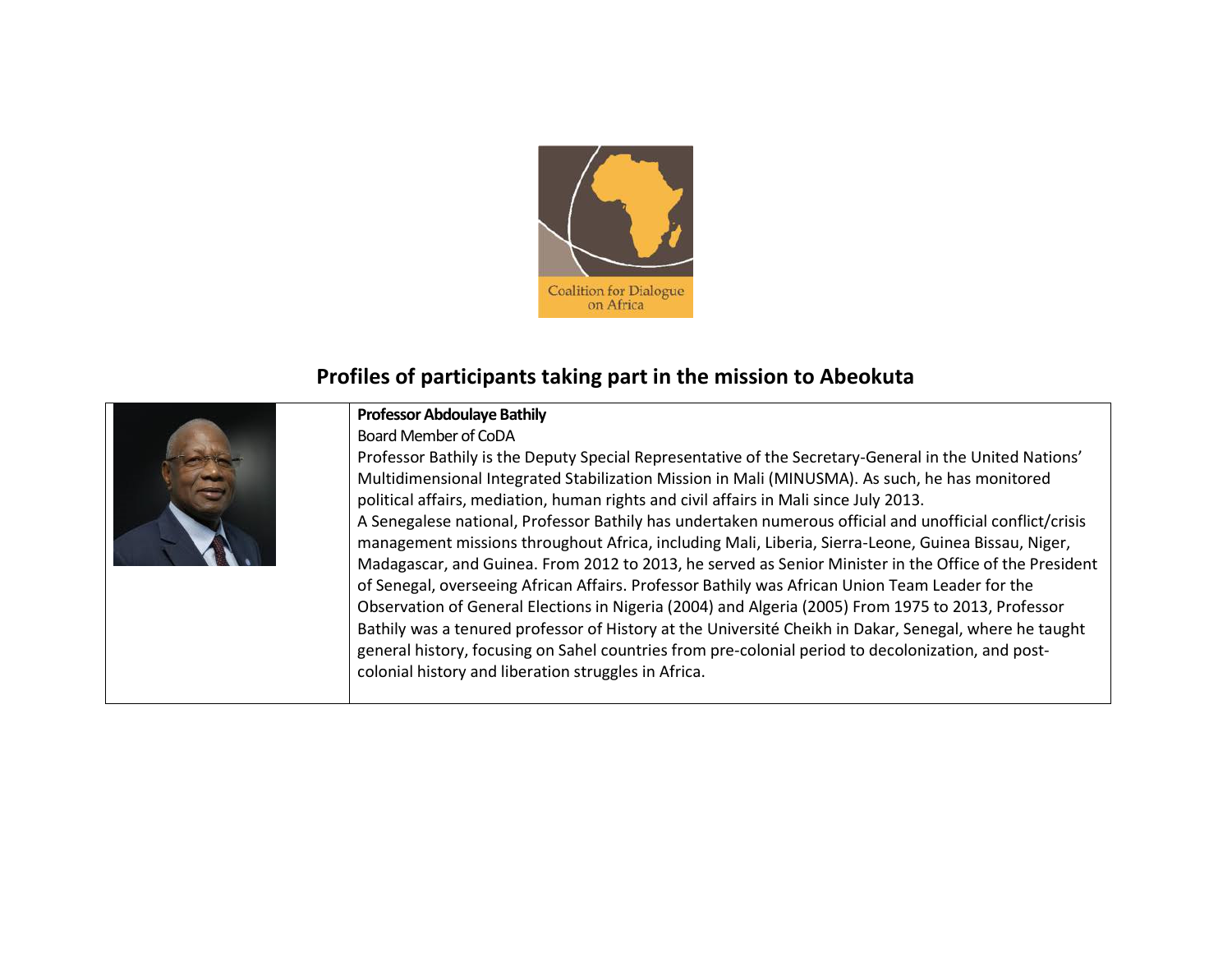

## **Profiles of participants taking part in the mission to Abeokuta**



## **Professor Abdoulaye Bathily**

Board Member of CoDA

Professor Bathily is the Deputy Special Representative of the Secretary-General in the United Nations' Multidimensional Integrated Stabilization Mission in Mali (MINUSMA). As such, he has monitored political affairs, mediation, human rights and civil affairs in Mali since July 2013. A Senegalese national, Professor Bathily has undertaken numerous official and unofficial conflict/crisis management missions throughout Africa, including Mali, Liberia, Sierra-Leone, Guinea Bissau, Niger, Madagascar, and Guinea. From 2012 to 2013, he served as Senior Minister in the Office of the President of Senegal, overseeing African Affairs. Professor Bathily was African Union Team Leader for the Observation of General Elections in Nigeria (2004) and Algeria (2005) From 1975 to 2013, Professor Bathily was a tenured professor of History at the Université Cheikh in Dakar, Senegal, where he taught general history, focusing on Sahel countries from pre-colonial period to decolonization, and postcolonial history and liberation struggles in Africa.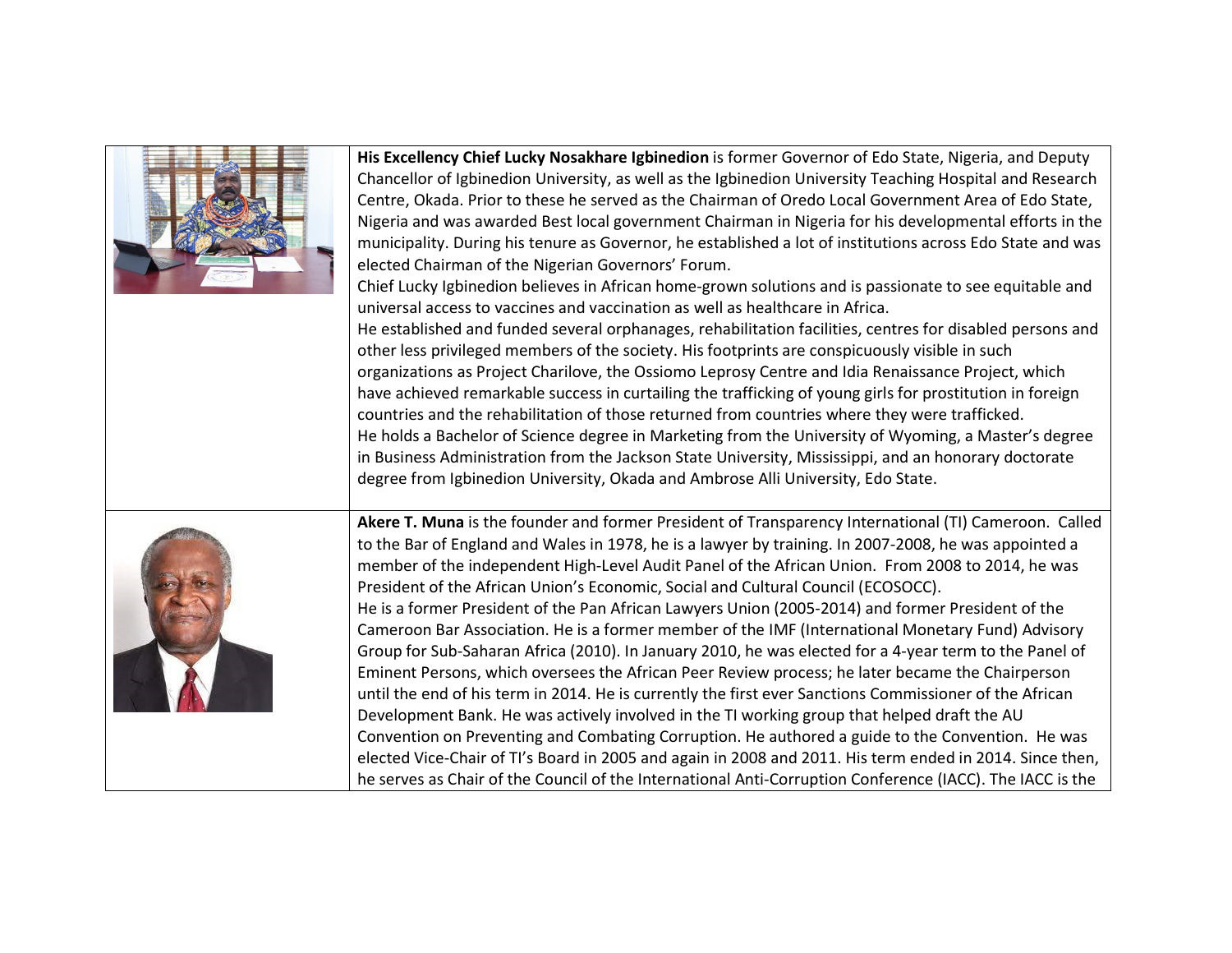| His Excellency Chief Lucky Nosakhare Igbinedion is former Governor of Edo State, Nigeria, and Deputy<br>Chancellor of Igbinedion University, as well as the Igbinedion University Teaching Hospital and Research<br>Centre, Okada. Prior to these he served as the Chairman of Oredo Local Government Area of Edo State,<br>Nigeria and was awarded Best local government Chairman in Nigeria for his developmental efforts in the<br>municipality. During his tenure as Governor, he established a lot of institutions across Edo State and was<br>elected Chairman of the Nigerian Governors' Forum.<br>Chief Lucky Igbinedion believes in African home-grown solutions and is passionate to see equitable and<br>universal access to vaccines and vaccination as well as healthcare in Africa.<br>He established and funded several orphanages, rehabilitation facilities, centres for disabled persons and<br>other less privileged members of the society. His footprints are conspicuously visible in such<br>organizations as Project Charilove, the Ossiomo Leprosy Centre and Idia Renaissance Project, which<br>have achieved remarkable success in curtailing the trafficking of young girls for prostitution in foreign<br>countries and the rehabilitation of those returned from countries where they were trafficked.<br>He holds a Bachelor of Science degree in Marketing from the University of Wyoming, a Master's degree<br>in Business Administration from the Jackson State University, Mississippi, and an honorary doctorate<br>degree from Igbinedion University, Okada and Ambrose Alli University, Edo State. |
|------------------------------------------------------------------------------------------------------------------------------------------------------------------------------------------------------------------------------------------------------------------------------------------------------------------------------------------------------------------------------------------------------------------------------------------------------------------------------------------------------------------------------------------------------------------------------------------------------------------------------------------------------------------------------------------------------------------------------------------------------------------------------------------------------------------------------------------------------------------------------------------------------------------------------------------------------------------------------------------------------------------------------------------------------------------------------------------------------------------------------------------------------------------------------------------------------------------------------------------------------------------------------------------------------------------------------------------------------------------------------------------------------------------------------------------------------------------------------------------------------------------------------------------------------------------------------------------------------------------------------------------|
| Akere T. Muna is the founder and former President of Transparency International (TI) Cameroon. Called<br>to the Bar of England and Wales in 1978, he is a lawyer by training. In 2007-2008, he was appointed a<br>member of the independent High-Level Audit Panel of the African Union. From 2008 to 2014, he was<br>President of the African Union's Economic, Social and Cultural Council (ECOSOCC).<br>He is a former President of the Pan African Lawyers Union (2005-2014) and former President of the<br>Cameroon Bar Association. He is a former member of the IMF (International Monetary Fund) Advisory<br>Group for Sub-Saharan Africa (2010). In January 2010, he was elected for a 4-year term to the Panel of<br>Eminent Persons, which oversees the African Peer Review process; he later became the Chairperson<br>until the end of his term in 2014. He is currently the first ever Sanctions Commissioner of the African<br>Development Bank. He was actively involved in the TI working group that helped draft the AU<br>Convention on Preventing and Combating Corruption. He authored a guide to the Convention. He was<br>elected Vice-Chair of TI's Board in 2005 and again in 2008 and 2011. His term ended in 2014. Since then,<br>he serves as Chair of the Council of the International Anti-Corruption Conference (IACC). The IACC is the                                                                                                                                                                                                                                                                   |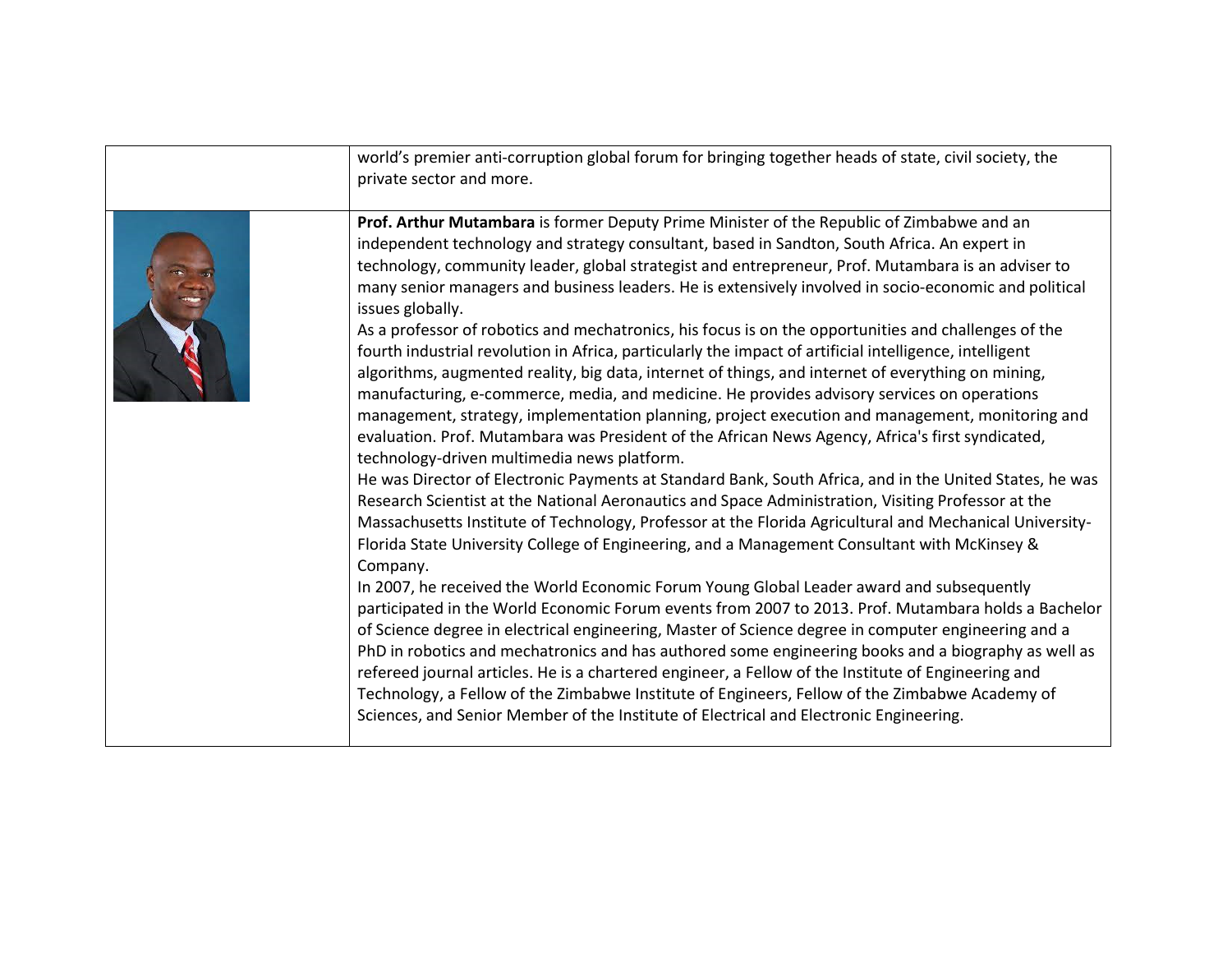| world's premier anti-corruption global forum for bringing together heads of state, civil society, the<br>private sector and more.                                                                                                                                                                                                                                                                                                                                                                                                                                                                                                                                                                                                                                                                                                                                                                                                                                                                                                                                                                                                                                                                                                                                                                                                                                                                                                                                                                                                                                                                                                                                                                                                                                                                                                                                                                                                                                                                                                                                                                                                                                                                                                                                      |
|------------------------------------------------------------------------------------------------------------------------------------------------------------------------------------------------------------------------------------------------------------------------------------------------------------------------------------------------------------------------------------------------------------------------------------------------------------------------------------------------------------------------------------------------------------------------------------------------------------------------------------------------------------------------------------------------------------------------------------------------------------------------------------------------------------------------------------------------------------------------------------------------------------------------------------------------------------------------------------------------------------------------------------------------------------------------------------------------------------------------------------------------------------------------------------------------------------------------------------------------------------------------------------------------------------------------------------------------------------------------------------------------------------------------------------------------------------------------------------------------------------------------------------------------------------------------------------------------------------------------------------------------------------------------------------------------------------------------------------------------------------------------------------------------------------------------------------------------------------------------------------------------------------------------------------------------------------------------------------------------------------------------------------------------------------------------------------------------------------------------------------------------------------------------------------------------------------------------------------------------------------------------|
| Prof. Arthur Mutambara is former Deputy Prime Minister of the Republic of Zimbabwe and an<br>independent technology and strategy consultant, based in Sandton, South Africa. An expert in<br>technology, community leader, global strategist and entrepreneur, Prof. Mutambara is an adviser to<br>many senior managers and business leaders. He is extensively involved in socio-economic and political<br>issues globally.<br>As a professor of robotics and mechatronics, his focus is on the opportunities and challenges of the<br>fourth industrial revolution in Africa, particularly the impact of artificial intelligence, intelligent<br>algorithms, augmented reality, big data, internet of things, and internet of everything on mining,<br>manufacturing, e-commerce, media, and medicine. He provides advisory services on operations<br>management, strategy, implementation planning, project execution and management, monitoring and<br>evaluation. Prof. Mutambara was President of the African News Agency, Africa's first syndicated,<br>technology-driven multimedia news platform.<br>He was Director of Electronic Payments at Standard Bank, South Africa, and in the United States, he was<br>Research Scientist at the National Aeronautics and Space Administration, Visiting Professor at the<br>Massachusetts Institute of Technology, Professor at the Florida Agricultural and Mechanical University-<br>Florida State University College of Engineering, and a Management Consultant with McKinsey &<br>Company.<br>In 2007, he received the World Economic Forum Young Global Leader award and subsequently<br>participated in the World Economic Forum events from 2007 to 2013. Prof. Mutambara holds a Bachelor<br>of Science degree in electrical engineering, Master of Science degree in computer engineering and a<br>PhD in robotics and mechatronics and has authored some engineering books and a biography as well as<br>refereed journal articles. He is a chartered engineer, a Fellow of the Institute of Engineering and<br>Technology, a Fellow of the Zimbabwe Institute of Engineers, Fellow of the Zimbabwe Academy of<br>Sciences, and Senior Member of the Institute of Electrical and Electronic Engineering. |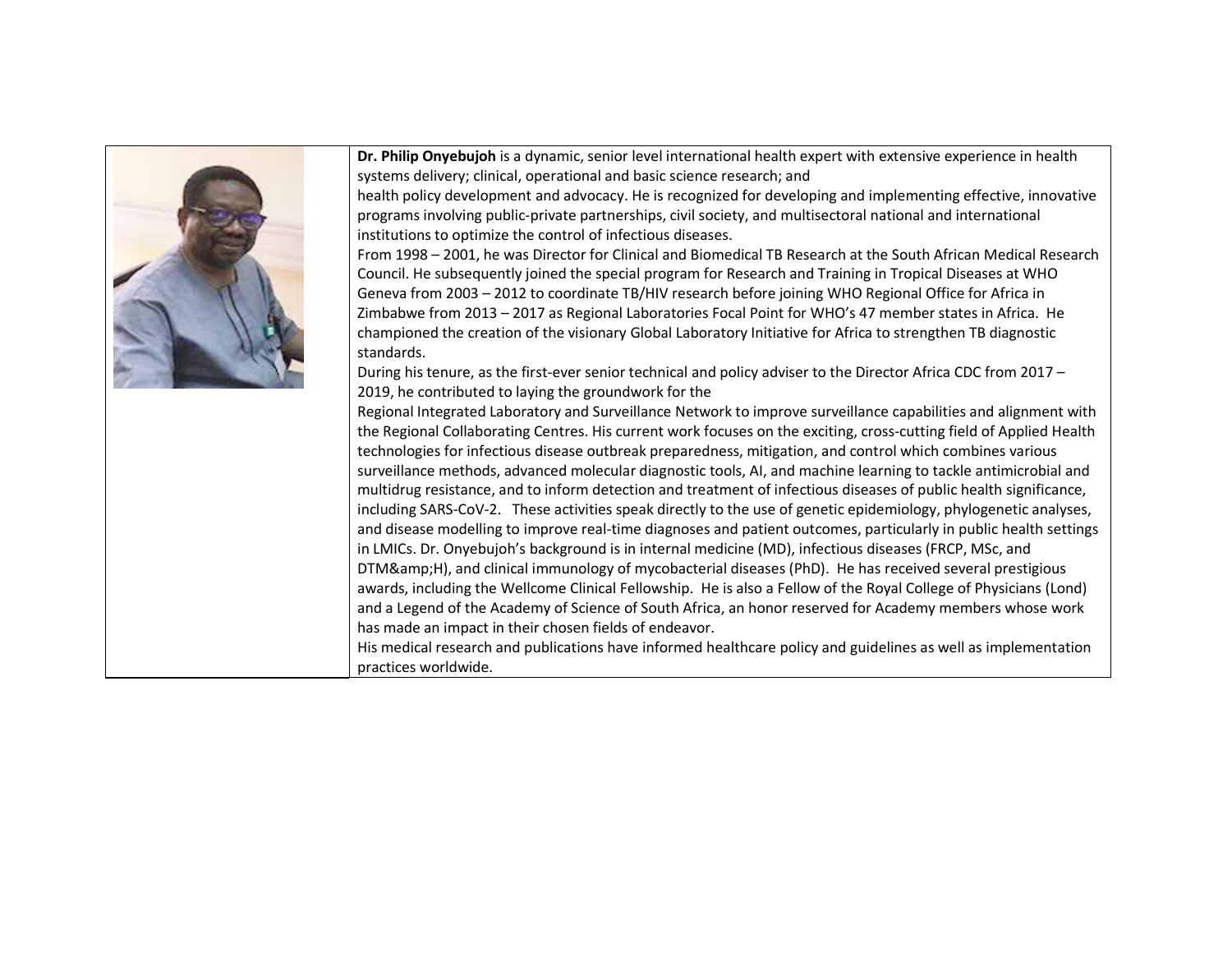

**Dr. Philip Onyebujoh** is a dynamic, senior level international health expert with extensive experience in health systems delivery; clinical, operational and basic science research; and

health policy development and advocacy. He is recognized for developing and implementing effective, innovative programs involving public-private partnerships, civil society, and multisectoral national and international institutions to optimize the control of infectious diseases.

From 1998 – 2001, he was Director for Clinical and Biomedical TB Research at the South African Medical Research Council. He subsequently joined the special program for Research and Training in Tropical Diseases at WHO Geneva from 2003 – 2012 to coordinate TB/HIV research before joining WHO Regional Office for Africa in Zimbabwe from 2013 – 2017 as Regional Laboratories Focal Point for WHO's 47 member states in Africa. He championed the creation of the visionary Global Laboratory Initiative for Africa to strengthen TB diagnostic

During his tenure, as the first-ever senior technical and policy adviser to the Director Africa CDC from 2017 – 2019, he contributed to laying the groundwork for the

Regional Integrated Laboratory and Surveillance Network to improve surveillance capabilities and alignment with the Regional Collaborating Centres. His current work focuses on the exciting, cross-cutting field of Applied Health technologies for infectious disease outbreak preparedness, mitigation, and control which combines various surveillance methods, advanced molecular diagnostic tools, AI, and machine learning to tackle antimicrobial and multidrug resistance, and to inform detection and treatment of infectious diseases of public health significance, including SARS-CoV-2. These activities speak directly to the use of genetic epidemiology, phylogenetic analyses, and disease modelling to improve real-time diagnoses and patient outcomes, particularly in public health settings in LMICs. Dr. Onyebujoh's background is in internal medicine (MD), infectious diseases (FRCP, MSc, and DTM&H), and clinical immunology of mycobacterial diseases (PhD). He has received several prestigious awards, including the Wellcome Clinical Fellowship. He is also a Fellow of the Royal College of Physicians (Lond) and a Legend of the Academy of Science of South Africa, an honor reserved for Academy members whose work has made an impact in their chosen fields of endeavor.

His medical research and publications have informed healthcare policy and guidelines as well as implementation practices worldwide.